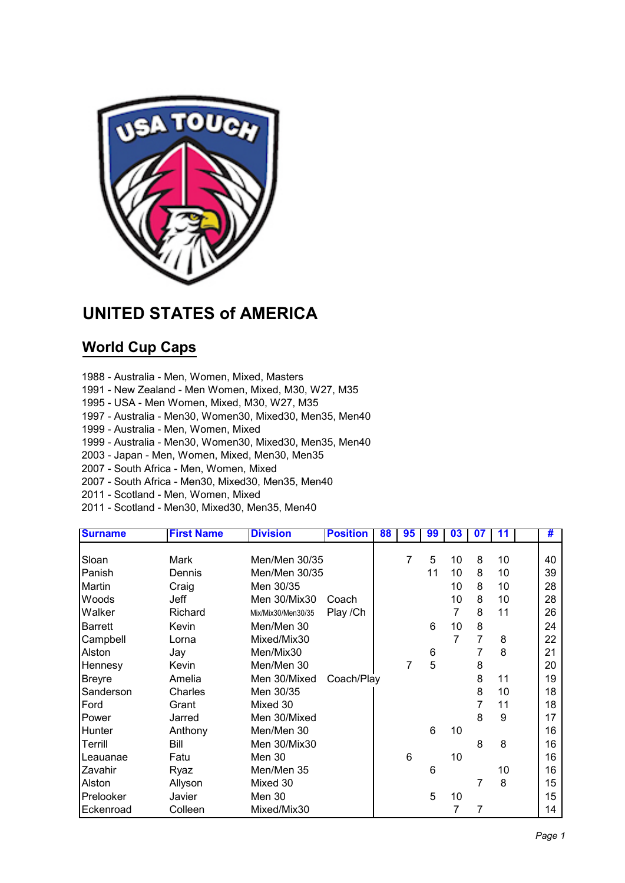

## **UNITED STATES of AMERICA**

## **World Cup Caps**

- 1988 Australia Men, Women, Mixed, Masters
- 1991 New Zealand Men Women, Mixed, M30, W27, M35
- 1995 USA Men Women, Mixed, M30, W27, M35
- 1997 Australia Men30, Women30, Mixed30, Men35, Men40
- 1999 Australia Men, Women, Mixed
- 1999 Australia Men30, Women30, Mixed30, Men35, Men40
- 2003 Japan Men, Women, Mixed, Men30, Men35
- 2007 South Africa Men, Women, Mixed
- 2007 South Africa Men30, Mixed30, Men35, Men40
- 2011 Scotland Men, Women, Mixed
- 2011 Scotland Men30, Mixed30, Men35, Men40

| <b>Surname</b> | <b>First Name</b> | <b>Division</b>    | <b>Position</b> | 88 | 95 | 99 | 03 | 07             | 11 | #  |
|----------------|-------------------|--------------------|-----------------|----|----|----|----|----------------|----|----|
|                |                   |                    |                 |    |    |    |    |                |    |    |
| Sloan          | Mark              | Men/Men 30/35      |                 |    | 7  | 5  | 10 | 8              | 10 | 40 |
| Panish         | Dennis            | Men/Men 30/35      |                 |    |    | 11 | 10 | 8              | 10 | 39 |
| Martin         | Craig             | Men 30/35          |                 |    |    |    | 10 | 8              | 10 | 28 |
| Woods          | Jeff              | Men 30/Mix30       | Coach           |    |    |    | 10 | 8              | 10 | 28 |
| Walker         | Richard           | Mix/Mix30/Men30/35 | Play / Ch       |    |    |    | 7  | 8              | 11 | 26 |
| <b>Barrett</b> | Kevin             | Men/Men 30         |                 |    |    | 6  | 10 | 8              |    | 24 |
| Campbell       | Lorna             | Mixed/Mix30        |                 |    |    |    | 7  | $\overline{7}$ | 8  | 22 |
| Alston         | Jay               | Men/Mix30          |                 |    |    | 6  |    | 7              | 8  | 21 |
| Hennesy        | Kevin             | Men/Men 30         |                 |    | 7  | 5  |    | 8              |    | 20 |
| <b>Breyre</b>  | Amelia            | Men 30/Mixed       | Coach/Play      |    |    |    |    | 8              | 11 | 19 |
| Sanderson      | Charles           | Men 30/35          |                 |    |    |    |    | 8              | 10 | 18 |
| Ford           | Grant             | Mixed 30           |                 |    |    |    |    | 7              | 11 | 18 |
| Power          | Jarred            | Men 30/Mixed       |                 |    |    |    |    | 8              | 9  | 17 |
| Hunter         | Anthony           | Men/Men 30         |                 |    |    | 6  | 10 |                |    | 16 |
| Terrill        | Bill              | Men 30/Mix30       |                 |    |    |    |    | 8              | 8  | 16 |
| Leauanae       | Fatu              | Men 30             |                 |    | 6  |    | 10 |                |    | 16 |
| Zavahir        | Ryaz              | Men/Men 35         |                 |    |    | 6  |    |                | 10 | 16 |
| Alston         | Allyson           | Mixed 30           |                 |    |    |    |    | 7              | 8  | 15 |
| Prelooker      | Javier            | Men 30             |                 |    |    | 5  | 10 |                |    | 15 |
| Eckenroad      | Colleen           | Mixed/Mix30        |                 |    |    |    | 7  | 7              |    | 14 |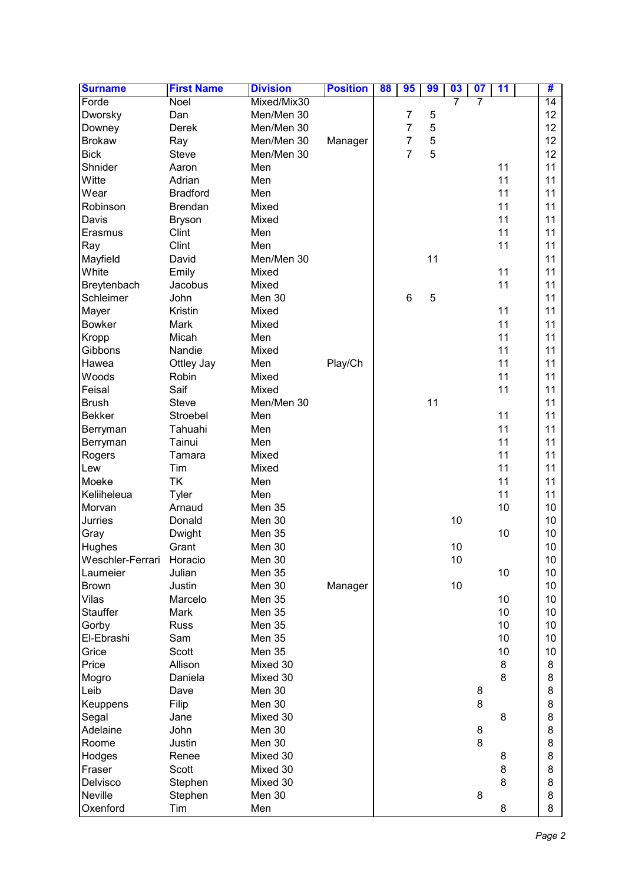| <b>Surname</b>   | <b>First Name</b> | <b>Division</b> | <b>Position</b> | 88 | 95             | 99 | 03 | $\overline{\mathbf{07}}$ | 11 | #  |
|------------------|-------------------|-----------------|-----------------|----|----------------|----|----|--------------------------|----|----|
| Forde            | Noel              | Mixed/Mix30     |                 |    |                |    | 7  |                          |    | 14 |
| Dworsky          | Dan               | Men/Men 30      |                 |    | 7              | 5  |    |                          |    | 12 |
| Downey           | Derek             | Men/Men 30      |                 |    | 7              | 5  |    |                          |    | 12 |
| <b>Brokaw</b>    | Ray               | Men/Men 30      | Manager         |    | 7              | 5  |    |                          |    | 12 |
| <b>Bick</b>      | <b>Steve</b>      | Men/Men 30      |                 |    | $\overline{7}$ | 5  |    |                          |    | 12 |
| Shnider          | Aaron             | Men             |                 |    |                |    |    |                          | 11 | 11 |
| Witte            | Adrian            | Men             |                 |    |                |    |    |                          | 11 | 11 |
| Wear             | <b>Bradford</b>   | Men             |                 |    |                |    |    |                          | 11 | 11 |
| Robinson         | <b>Brendan</b>    | Mixed           |                 |    |                |    |    |                          | 11 | 11 |
| Davis            | <b>Bryson</b>     | Mixed           |                 |    |                |    |    |                          | 11 | 11 |
| Erasmus          | Clint             | Men             |                 |    |                |    |    |                          | 11 | 11 |
| Ray              | Clint             | Men             |                 |    |                |    |    |                          | 11 | 11 |
| Mayfield         | David             | Men/Men 30      |                 |    |                | 11 |    |                          |    | 11 |
| White            | Emily             | Mixed           |                 |    |                |    |    |                          | 11 | 11 |
|                  | Jacobus           | Mixed           |                 |    |                |    |    |                          | 11 | 11 |
| Breytenbach      |                   |                 |                 |    |                |    |    |                          |    | 11 |
| Schleimer        | John              | Men 30          |                 |    | 6              | 5  |    |                          |    |    |
| Mayer            | Kristin           | Mixed           |                 |    |                |    |    |                          | 11 | 11 |
| <b>Bowker</b>    | Mark              | Mixed           |                 |    |                |    |    |                          | 11 | 11 |
| Kropp            | Micah             | Men             |                 |    |                |    |    |                          | 11 | 11 |
| Gibbons          | Nandie            | Mixed           |                 |    |                |    |    |                          | 11 | 11 |
| Hawea            | Ottley Jay        | Men             | Play/Ch         |    |                |    |    |                          | 11 | 11 |
| Woods            | Robin             | Mixed           |                 |    |                |    |    |                          | 11 | 11 |
| Feisal           | Saif              | Mixed           |                 |    |                |    |    |                          | 11 | 11 |
| <b>Brush</b>     | <b>Steve</b>      | Men/Men 30      |                 |    |                | 11 |    |                          |    | 11 |
| <b>Bekker</b>    | Stroebel          | Men             |                 |    |                |    |    |                          | 11 | 11 |
| Berryman         | Tahuahi           | Men             |                 |    |                |    |    |                          | 11 | 11 |
| Berryman         | Tainui            | Men             |                 |    |                |    |    |                          | 11 | 11 |
| Rogers           | Tamara            | Mixed           |                 |    |                |    |    |                          | 11 | 11 |
| Lew              | Tim               | Mixed           |                 |    |                |    |    |                          | 11 | 11 |
| Moeke            | <b>TK</b>         | Men             |                 |    |                |    |    |                          | 11 | 11 |
| Keliiheleua      | <b>Tyler</b>      | Men             |                 |    |                |    |    |                          | 11 | 11 |
| Morvan           | Arnaud            | <b>Men 35</b>   |                 |    |                |    |    |                          | 10 | 10 |
| <b>Jurries</b>   | Donald            | Men 30          |                 |    |                |    | 10 |                          |    | 10 |
| Gray             | Dwight            | <b>Men 35</b>   |                 |    |                |    |    |                          | 10 | 10 |
| Hughes           | Grant             | Men 30          |                 |    |                |    | 10 |                          |    | 10 |
| Weschler-Ferrari | Horacio           | Men 30          |                 |    |                |    | 10 |                          |    | 10 |
| Laumeier         | Julian            | <b>Men 35</b>   |                 |    |                |    |    |                          | 10 | 10 |
| Brown            | Justin            | Men 30          | Manager         |    |                |    | 10 |                          |    | 10 |
| Vilas            | Marcelo           | <b>Men 35</b>   |                 |    |                |    |    |                          | 10 | 10 |
| <b>Stauffer</b>  | Mark              | <b>Men 35</b>   |                 |    |                |    |    |                          | 10 | 10 |
| Gorby            | <b>Russ</b>       | <b>Men 35</b>   |                 |    |                |    |    |                          | 10 | 10 |
| El-Ebrashi       | Sam               | <b>Men 35</b>   |                 |    |                |    |    |                          | 10 | 10 |
| Grice            | Scott             | <b>Men 35</b>   |                 |    |                |    |    |                          | 10 | 10 |
| Price            | Allison           | Mixed 30        |                 |    |                |    |    |                          | 8  | 8  |
|                  |                   |                 |                 |    |                |    |    |                          | 8  | 8  |
| Mogro            | Daniela           | Mixed 30        |                 |    |                |    |    |                          |    |    |
| Leib             | Dave              | Men 30          |                 |    |                |    |    | 8                        |    | 8  |
| Keuppens         | Filip             | Men 30          |                 |    |                |    |    | 8                        |    | 8  |
| Segal            | Jane              | Mixed 30        |                 |    |                |    |    |                          | 8  | 8  |
| Adelaine         | John              | Men 30          |                 |    |                |    |    | 8                        |    | 8  |
| Roome            | Justin            | Men 30          |                 |    |                |    |    | 8                        |    | 8  |
| Hodges           | Renee             | Mixed 30        |                 |    |                |    |    |                          | 8  | 8  |
| Fraser           | <b>Scott</b>      | Mixed 30        |                 |    |                |    |    |                          | 8  | 8  |
| Delvisco         | Stephen           | Mixed 30        |                 |    |                |    |    |                          | 8  | 8  |
| <b>Neville</b>   | Stephen           | Men 30          |                 |    |                |    |    | 8                        |    | 8  |
| Oxenford         | Tim               | Men             |                 |    |                |    |    |                          | 8  | 8  |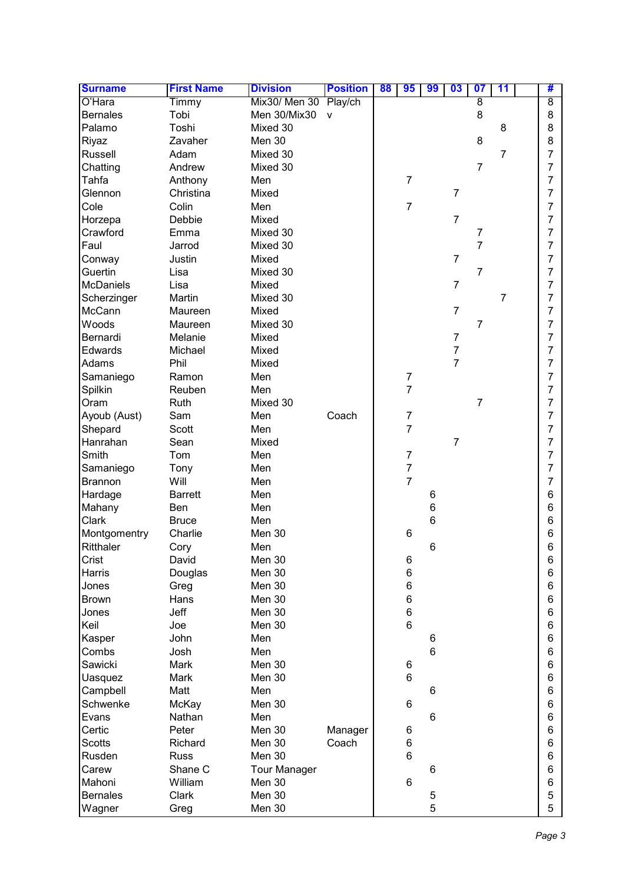| <b>Surname</b>   | <b>First Name</b> | <b>Division</b>       | <b>Position</b> | 88 | 95                      | 99             | 03             | 07             | 11             | #              |
|------------------|-------------------|-----------------------|-----------------|----|-------------------------|----------------|----------------|----------------|----------------|----------------|
| O'Hara           | Timmy             | Mix30/ Men 30 Play/ch |                 |    |                         |                |                | 8              |                | $\overline{8}$ |
| <b>Bernales</b>  | Tobi              | Men 30/Mix30          | v               |    |                         |                |                | 8              |                | 8              |
| Palamo           | Toshi             | Mixed 30              |                 |    |                         |                |                |                | 8              | 8              |
| Riyaz            | Zavaher           | Men 30                |                 |    |                         |                |                | 8              |                | 8              |
| Russell          | Adam              | Mixed 30              |                 |    |                         |                |                |                | $\overline{7}$ | $\overline{7}$ |
| Chatting         | Andrew            | Mixed 30              |                 |    |                         |                |                | $\overline{7}$ |                | $\overline{7}$ |
| Tahfa            | Anthony           | Men                   |                 |    | $\overline{7}$          |                |                |                |                | $\overline{7}$ |
| Glennon          | Christina         | Mixed                 |                 |    |                         |                | $\overline{7}$ |                |                | $\overline{7}$ |
| Cole             | Colin             | Men                   |                 |    | $\overline{7}$          |                |                |                |                | 7              |
| Horzepa          | Debbie            | Mixed                 |                 |    |                         |                | $\overline{7}$ |                |                | $\overline{7}$ |
| Crawford         | Emma              | Mixed 30              |                 |    |                         |                |                | 7              |                | $\overline{7}$ |
| Faul             | Jarrod            | Mixed 30              |                 |    |                         |                |                | 7              |                | $\overline{7}$ |
| Conway           | Justin            | Mixed                 |                 |    |                         |                | $\overline{7}$ |                |                | $\overline{7}$ |
| Guertin          | Lisa              | Mixed 30              |                 |    |                         |                |                | $\overline{7}$ |                | 7              |
| <b>McDaniels</b> | Lisa              | Mixed                 |                 |    |                         |                | $\overline{7}$ |                |                | 7              |
| Scherzinger      | Martin            | Mixed 30              |                 |    |                         |                |                |                | 7              | 7              |
| McCann           | Maureen           | Mixed                 |                 |    |                         |                | $\overline{7}$ |                |                | 7              |
| Woods            | Maureen           | Mixed 30              |                 |    |                         |                |                | $\overline{7}$ |                | 7              |
| Bernardi         | Melanie           | Mixed                 |                 |    |                         |                | $\overline{7}$ |                |                | 7              |
| Edwards          | Michael           | Mixed                 |                 |    |                         |                | $\overline{7}$ |                |                | 7              |
| Adams            | Phil              | Mixed                 |                 |    |                         |                | $\overline{7}$ |                |                | 7              |
| Samaniego        | Ramon             | Men                   |                 |    | $\overline{\mathbf{7}}$ |                |                |                |                | $\overline{7}$ |
| Spilkin          | Reuben            | Men                   |                 |    | $\overline{7}$          |                |                |                |                | $\overline{7}$ |
| Oram             | Ruth              | Mixed 30              |                 |    |                         |                |                | $\overline{7}$ |                | $\overline{7}$ |
| Ayoub (Aust)     | Sam               | Men                   | Coach           |    | $\overline{7}$          |                |                |                |                | $\overline{7}$ |
| Shepard          | <b>Scott</b>      | Men                   |                 |    | $\overline{7}$          |                |                |                |                | $\overline{7}$ |
| Hanrahan         | Sean              | Mixed                 |                 |    |                         |                | $\overline{7}$ |                |                | 7              |
| Smith            | Tom               | Men                   |                 |    | $\overline{7}$          |                |                |                |                | 7              |
| Samaniego        | Tony              | Men                   |                 |    | $\overline{7}$          |                |                |                |                | 7              |
| <b>Brannon</b>   | Will              | Men                   |                 |    | $\overline{7}$          |                |                |                |                | 7              |
| Hardage          | <b>Barrett</b>    | Men                   |                 |    |                         | 6              |                |                |                | 6              |
| Mahany           | Ben               | Men                   |                 |    |                         | 6              |                |                |                | 6              |
| Clark            | <b>Bruce</b>      | Men                   |                 |    |                         | 6              |                |                |                | 6              |
| Montgomentry     | Charlie           | Men 30                |                 |    | 6                       |                |                |                |                | 6              |
| Ritthaler        | Cory              | Men                   |                 |    |                         | 6              |                |                |                | 6              |
| Crist            | David             | Men 30                |                 |    | 6                       |                |                |                |                | 6              |
| Harris           | Douglas           | Men 30                |                 |    | $\,6$                   |                |                |                |                | 6              |
| Jones            | Greg              | Men 30                |                 |    | 6                       |                |                |                |                | 6              |
| <b>Brown</b>     | Hans              | Men 30                |                 |    | 6                       |                |                |                |                | 6              |
| Jones            | Jeff              | Men 30                |                 |    | 6                       |                |                |                |                | 6              |
| Keil             | Joe               | Men 30                |                 |    | 6                       |                |                |                |                | 6              |
| Kasper           | John              | Men                   |                 |    |                         | 6              |                |                |                | 6              |
| Combs            | Josh              | Men                   |                 |    |                         | $6\phantom{1}$ |                |                |                | 6              |
| Sawicki          | Mark              | Men 30                |                 |    | 6                       |                |                |                |                | 6              |
| <b>Uasquez</b>   | Mark              | Men 30                |                 |    | 6                       |                |                |                |                | 6              |
| Campbell         | Matt              | Men                   |                 |    |                         | 6              |                |                |                | 6              |
| Schwenke         | McKay             | Men 30                |                 |    | 6                       |                |                |                |                | 6              |
| Evans            | Nathan            | Men                   |                 |    |                         | 6              |                |                |                | 6              |
| Certic           | Peter             | Men 30                | Manager         |    | 6                       |                |                |                |                | 6              |
| <b>Scotts</b>    | Richard           | Men 30                | Coach           |    | 6                       |                |                |                |                | 6              |
| Rusden           | <b>Russ</b>       | Men 30                |                 |    | 6                       |                |                |                |                | 6              |
| Carew            | Shane C           | <b>Tour Manager</b>   |                 |    |                         | 6              |                |                |                | 6              |
| Mahoni           | William           | Men 30                |                 |    | 6                       |                |                |                |                | 6              |
| <b>Bernales</b>  | Clark             | Men 30                |                 |    |                         | 5              |                |                |                | 5              |
| Wagner           | Greg              | Men 30                |                 |    |                         | 5              |                |                |                | 5              |